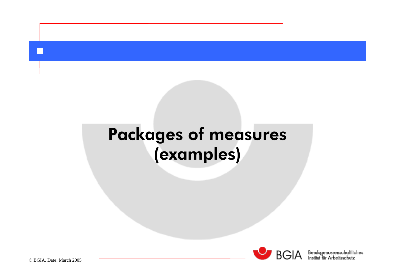# Packages of measures (examples)



 $B\overline{G}$ | $A$  Berufsgenossenschaftliches

© BGIA. Date: March 2005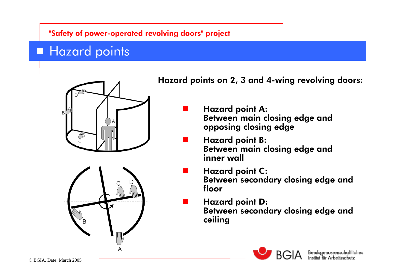# **Hazard points**





### Hazard points on 2, 3 and 4-wing revolving doors:

- Hazard point A: Between main closing edge and opposing closing edge
- Hazard point B: Between main closing edge and inner wall
- Hazard point C: Between secondary closing edge and floor
	- Hazard point D: Between secondary closing edge and ceiling

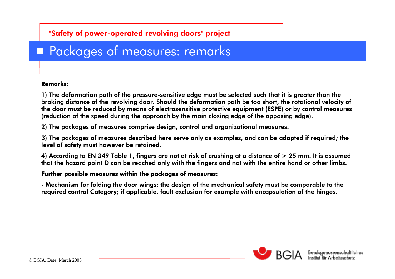## **Packages of measures: remarks**

#### Remarks:

1) The deformation path of the pressure-sensitive edge must be selected such that it is greater than the braking distance of the revolving door. Should the deformation path be too short, the rotational velocity of the door must be reduced by means of electrosensitive protective equipment (ESPE) or by control measures (reduction of the speed during the approach by the main closing edge of the opposing edge).

2) The packages of measures comprise design, control and organizational measures.

3) The packages of measures described here serve only as examples, and can be adapted if required; the level of safety must however be retained.

4) According to EN 349 Table 1, fingers are not at risk of crushing at a distance of > 25 mm. It is assumed that the hazard point D can be reached only with the fingers and not with the entire hand or other limbs.

#### Further possible measures within the packages of measures:

- Mechanism for folding the door wings; the design of the mechanical safety must be comparable to the required control Category; if applicable, fault exclusion for example with encapsulation of the hinges.

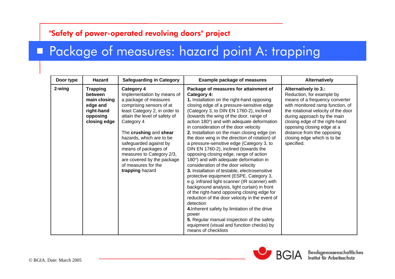### **Package of measures: hazard point A: trapping**

| Door type | <b>Hazard</b>                                                                                    | <b>Safeguarding in Category</b>                                                                                                                                                                                                                                                                                                                                                                   | <b>Example package of measures</b>                                                                                                                                                                                                                                                                                                                                                                                                                                                                                                                                                                                                                                                                                                                                                                                                                                                                                                                                                                                                                                                                                                     | Alternatively                                                                                                                                                                                                                                                                                                                            |
|-----------|--------------------------------------------------------------------------------------------------|---------------------------------------------------------------------------------------------------------------------------------------------------------------------------------------------------------------------------------------------------------------------------------------------------------------------------------------------------------------------------------------------------|----------------------------------------------------------------------------------------------------------------------------------------------------------------------------------------------------------------------------------------------------------------------------------------------------------------------------------------------------------------------------------------------------------------------------------------------------------------------------------------------------------------------------------------------------------------------------------------------------------------------------------------------------------------------------------------------------------------------------------------------------------------------------------------------------------------------------------------------------------------------------------------------------------------------------------------------------------------------------------------------------------------------------------------------------------------------------------------------------------------------------------------|------------------------------------------------------------------------------------------------------------------------------------------------------------------------------------------------------------------------------------------------------------------------------------------------------------------------------------------|
| 2-wing    | <b>Trapping</b><br>between<br>main closing<br>edge and<br>right-hand<br>opposing<br>closing edge | <b>Category 4</b><br>Implementation by means of<br>a package of measures<br>comprising sensors of at<br>least Category 2, in order to<br>attain the level of safety of<br>Category 4<br>The crushing and shear<br>hazards, which are to be<br>safeguarded against by<br>means of packages of<br>measures to Category 2/3,<br>are covered by the package<br>of measures for the<br>trapping hazard | Package of measures for attainment of<br>Category 4:<br>1. Installation on the right-hand opposing<br>closing edge of a pressure-sensitive edge<br>(Category 3, to DIN EN 1760-2), inclined<br>(towards the wing of the door, range of<br>action 180°) and with adequate deformation<br>in consideration of the door velocity<br>2. Installation on the main closing edge (on<br>the door wing in the direction of rotation) of<br>a pressure-sensitive edge (Category 3, to<br>DIN EN 1760-2), inclined (towards the<br>opposing closing edge, range of action<br>180°) and with adequate deformation in<br>consideration of the door velocity<br>3. Installation of testable, electrosensitive<br>protective equipment (ESPE, Category 3,<br>e.g. infrared light scanner (IR scanner) with<br>background analysis, light curtain) in front<br>of the right-hand opposing closing edge for<br>reduction of the door velocity in the event of<br>detection<br>4. Inherent safety by limitation of the drive<br>power<br>5. Regular manual inspection of the safety<br>equipment (visual and function checks) by<br>means of checklists | Alternatively to 3.:<br>Reduction, for example by<br>means of a frequency converter<br>with monitored ramp function, of<br>the rotational velocity of the door<br>during approach by the main<br>closing edge of the right-hand<br>opposing closing edge at a<br>distance from the opposing<br>closing edge which is to be<br>specified. |



BGIA Berufsgenossenschaftlic aftliches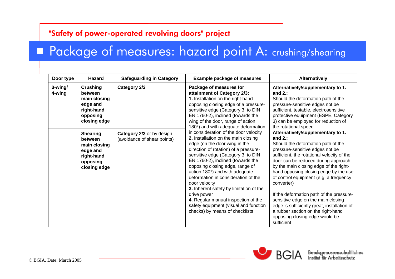### **Package of measures: hazard point A: crushing/shearing**

| Door type         | <b>Hazard</b>                                                                                    | <b>Safeguarding in Category</b>                          | <b>Example package of measures</b>                                                                                                                                                                                                                                                                                                                                                                                                                                                                                                                                                                                                                                                                                                                                                                                                       | Alternatively                                                                                                                                                                                                                                                                                                                                                                                                                                                                                                                                                                   |                                                                                                                                                                                                                          |
|-------------------|--------------------------------------------------------------------------------------------------|----------------------------------------------------------|------------------------------------------------------------------------------------------------------------------------------------------------------------------------------------------------------------------------------------------------------------------------------------------------------------------------------------------------------------------------------------------------------------------------------------------------------------------------------------------------------------------------------------------------------------------------------------------------------------------------------------------------------------------------------------------------------------------------------------------------------------------------------------------------------------------------------------------|---------------------------------------------------------------------------------------------------------------------------------------------------------------------------------------------------------------------------------------------------------------------------------------------------------------------------------------------------------------------------------------------------------------------------------------------------------------------------------------------------------------------------------------------------------------------------------|--------------------------------------------------------------------------------------------------------------------------------------------------------------------------------------------------------------------------|
| 3-wing/<br>4-wing | Crushing<br>between<br>main closing<br>edge and<br>right-hand<br>opposing<br>closing edge        | Category 2/3                                             | Package of measures for<br>attainment of Category 2/3:<br>1. Installation on the right-hand<br>opposing closing edge of a pressure-<br>sensitive edge (Category 3, to DIN<br>EN 1760-2), inclined (towards the<br>wing of the door, range of action<br>180°) and with adequate deformation<br>in consideration of the door velocity<br>2. Installation on the main closing<br>edge (on the door wing in the<br>direction of rotation) of a pressure-<br>sensitive edge (Category 3, to DIN<br>EN 1760-2), inclined (towards the<br>opposing closing edge, range of<br>action 180°) and with adequate<br>deformation in consideration of the<br>door velocity<br>3. Inherent safety by limitation of the<br>drive power<br>4. Regular manual inspection of the<br>safety equipment (visual and function<br>checks) by means of checklists | and $2$ .:<br>pressure-sensitive edges not be                                                                                                                                                                                                                                                                                                                                                                                                                                                                                                                                   | Alternatively/supplementary to 1.<br>Should the deformation path of the<br>sufficient, testable, electrosensitive<br>protective equipment (ESPE, Category<br>3) can be employed for reduction of<br>the rotational speed |
|                   | <b>Shearing</b><br>between<br>main closing<br>edge and<br>right-hand<br>opposing<br>closing edge | Category 2/3 or by design<br>(avoidance of shear points) |                                                                                                                                                                                                                                                                                                                                                                                                                                                                                                                                                                                                                                                                                                                                                                                                                                          | Alternatively/supplementary to 1.<br>and $2$ .:<br>Should the deformation path of the<br>pressure-sensitive edges not be<br>sufficient, the rotational velocity of the<br>door can be reduced during approach<br>by the main closing edge of the right-<br>hand opposing closing edge by the use<br>of control equipment (e.g. a frequency<br>converter)<br>If the deformation path of the pressure-<br>sensitive edge on the main closing<br>edge is sufficiently great, installation of<br>a rubber section on the right-hand<br>opposing closing edge would be<br>sufficient |                                                                                                                                                                                                                          |



BGIA Berufsgenossenschaftlic liches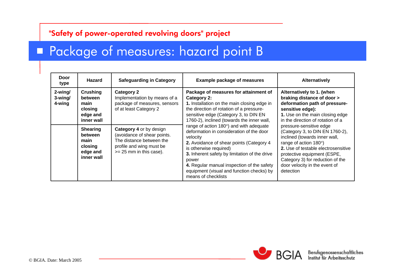### **Package of measures: hazard point B**

| Door<br>type                       | <b>Hazard</b>                                                                                                                               | <b>Safeguarding in Category</b>                                                                                                                                                                                                                            | <b>Example package of measures</b>                                                                                                                                                                                                                                                                                                                                                                                                                                                                                                                                                          | <b>Alternatively</b>                                                                                                                                                                                                                                                                                                                                                                                                                                                 |
|------------------------------------|---------------------------------------------------------------------------------------------------------------------------------------------|------------------------------------------------------------------------------------------------------------------------------------------------------------------------------------------------------------------------------------------------------------|---------------------------------------------------------------------------------------------------------------------------------------------------------------------------------------------------------------------------------------------------------------------------------------------------------------------------------------------------------------------------------------------------------------------------------------------------------------------------------------------------------------------------------------------------------------------------------------------|----------------------------------------------------------------------------------------------------------------------------------------------------------------------------------------------------------------------------------------------------------------------------------------------------------------------------------------------------------------------------------------------------------------------------------------------------------------------|
| $2$ -wing/<br>$3$ -wing/<br>4-wing | Crushing<br>between<br>main<br>closing<br>edge and<br>inner wall<br><b>Shearing</b><br>between<br>main<br>closing<br>edge and<br>inner wall | <b>Category 2</b><br>Implementation by means of a<br>package of measures, sensors<br>of at least Category 2<br>Category 4 or by design<br>(avoidance of shear points.<br>The distance between the<br>profile and wing must be<br>$>= 25$ mm in this case). | Package of measures for attainment of<br>Category 2:<br>1. Installation on the main closing edge in<br>the direction of rotation of a pressure-<br>sensitive edge (Category 3, to DIN EN<br>1760-2), inclined (towards the inner wall,<br>range of action 180°) and with adequate<br>deformation in consideration of the door<br>velocity<br>2. Avoidance of shear points (Category 4<br>is otherwise required)<br>3. Inherent safety by limitation of the drive<br>power<br>4. Regular manual inspection of the safety<br>equipment (visual and function checks) by<br>means of checklists | Alternatively to 1. (when<br>braking distance of door ><br>deformation path of pressure-<br>sensitive edge):<br>1. Use on the main closing edge<br>in the direction of rotation of a<br>pressure-sensitive edge<br>(Category 3, to DIN EN 1760-2),<br>inclined (towards inner wall,<br>range of action 180°)<br>2. Use of testable electrosensitive<br>protective equipment (ESPE,<br>Category 3) for reduction of the<br>door velocity in the event of<br>detection |

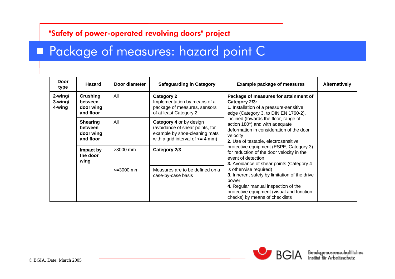### **Package of measures: hazard point C**

| Door<br>type                    | Hazard                                               | Door diameter        | <b>Safeguarding in Category</b>                                                                                                                                                                                                                          | <b>Example package of measures</b>                                                                                                                                                                                                                                                                                                                                                                                                                                                                                                          | Alternatively |
|---------------------------------|------------------------------------------------------|----------------------|----------------------------------------------------------------------------------------------------------------------------------------------------------------------------------------------------------------------------------------------------------|---------------------------------------------------------------------------------------------------------------------------------------------------------------------------------------------------------------------------------------------------------------------------------------------------------------------------------------------------------------------------------------------------------------------------------------------------------------------------------------------------------------------------------------------|---------------|
| 2-wing/<br>$3$ -wing/<br>4-wing | Crushing<br>between<br>door wing<br>and floor        | All                  | Package of measures for attainment of<br><b>Category 2</b><br>Implementation by means of a<br>Category 2/3:<br>package of measures, sensors<br>1. Installation of a pressure-sensitive<br>of at least Category 2<br>edge (Category 3, to DIN EN 1760-2), |                                                                                                                                                                                                                                                                                                                                                                                                                                                                                                                                             |               |
|                                 | <b>Shearing</b><br>between<br>door wing<br>and floor | All                  | Category 4 or by design<br>(avoidance of shear points, for<br>example by shoe-cleaning mats<br>with a grid interval of $\leq$ 4 mm)                                                                                                                      | inclined (towards the floor, range of<br>action 180°) and with adequate<br>deformation in consideration of the door<br>velocity<br>2. Use of testable, electrosensitive<br>protective equipment (ESPE, Category 3)<br>for reduction of the door velocity in the<br>event of detection<br>3. Avoidance of shear points (Category 4<br>is otherwise required)<br>3. Inherent safety by limitation of the drive<br>power<br>4. Regular manual inspection of the<br>protective equipment (visual and function<br>checks) by means of checklists |               |
|                                 | Impact by<br>the door<br>wing                        | $>3000$ mm           | Category 2/3                                                                                                                                                                                                                                             |                                                                                                                                                                                                                                                                                                                                                                                                                                                                                                                                             |               |
|                                 |                                                      | $\epsilon = 3000$ mm | Measures are to be defined on a<br>case-by-case basis                                                                                                                                                                                                    |                                                                                                                                                                                                                                                                                                                                                                                                                                                                                                                                             |               |



 $B\overline{G}$ | $A$  Berufsgenossenschaftliches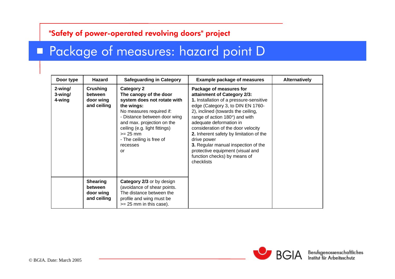### **Package of measures: hazard point D**

| Door type                    | Hazard                                                 | <b>Safeguarding in Category</b>                                                                                                                                                                                                                                                 | <b>Example package of measures</b>                                                                                                                                                                                                                                                                                                                                                                                                                                         | <b>Alternatively</b> |
|------------------------------|--------------------------------------------------------|---------------------------------------------------------------------------------------------------------------------------------------------------------------------------------------------------------------------------------------------------------------------------------|----------------------------------------------------------------------------------------------------------------------------------------------------------------------------------------------------------------------------------------------------------------------------------------------------------------------------------------------------------------------------------------------------------------------------------------------------------------------------|----------------------|
| 2-wing/<br>3-wing/<br>4-wing | <b>Crushing</b><br>between<br>door wing<br>and ceiling | <b>Category 2</b><br>The canopy of the door<br>system does not rotate with<br>the wings:<br>No measures required if:<br>- Distance between door wing<br>and max. projection on the<br>ceiling (e.g. light fittings)<br>$>= 25$ mm<br>- The ceiling is free of<br>recesses<br>or | Package of measures for<br>attainment of Category 2/3:<br>1. Installation of a pressure-sensitive<br>edge (Category 3, to DIN EN 1760-<br>2), inclined (towards the ceiling,<br>range of action $180^\circ$ ) and with<br>adequate deformation in<br>consideration of the door velocity<br>2. Inherent safety by limitation of the<br>drive power<br>3. Regular manual inspection of the<br>protective equipment (visual and<br>function checks) by means of<br>checklists |                      |
|                              | <b>Shearing</b><br>between<br>door wing<br>and ceiling | Category 2/3 or by design<br>(avoidance of shear points.<br>The distance between the<br>profile and wing must be<br>$>= 25$ mm in this case).                                                                                                                                   |                                                                                                                                                                                                                                                                                                                                                                                                                                                                            |                      |



 $B\overline{G}$ | $A$  Berufsgenossenschaftliches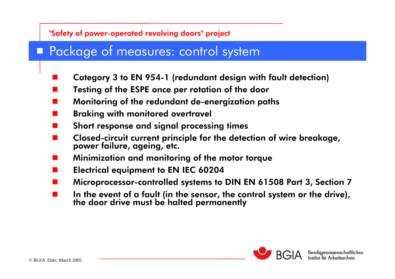### **Package of measures: control system**

- $\blacksquare$ Category 3 to EN 954-1 (redundant design with fault detection)
- $\blacksquare$ Testing of the ESPE once per rotation of the door
- $\blacksquare$ Monitoring of the redundant de-energization paths
- $\blacksquare$ Braking with monitored overtravel
- $\blacksquare$ Short response and signal processing times
- $\blacksquare$ Closed-circuit current principle for the detection of wire breakage, power failure, ageing, etc.
- $\blacksquare$ Minimization and monitoring of the motor torque
- $\blacksquare$ Electrical equipment to EN IEC 60204
- $\blacksquare$ Microprocessor-controlled systems to DIN EN 61508 Part 3, Section 7
- $\blacksquare$ In the event of a fault (in the sensor, the control system or the drive), the door drive must be halted permanently

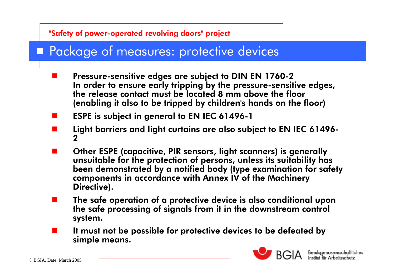### **Package of measures: protective devices**

- П Pressure-sensitive edges are subject to DIN EN 1760-2 In order to ensure early tripping by the pressure-sensitive edges, the release contact must be located 8 mm above the floor (enabling it also to be tripped by children's hands on the floor)
- ESPE is subject in general to EN IEC 61496-1
- Light barriers and light curtains are also subject to EN IEC 61496- 2
- Other ESPE (capacitive, PIR sensors, light scanners) is generally unsuitable for the protection of persons, unless its suitability has been demonstrated by a notified body (type examination for safety components in accordance with Annex IV of the Machinery Directive).
- П The safe operation of a protective device is also conditional upon the safe processing of signals from it in the downstream control system.
- It must not be possible for protective devices to be defeated by simple means.



BGIA Berufsgenossenschaftlic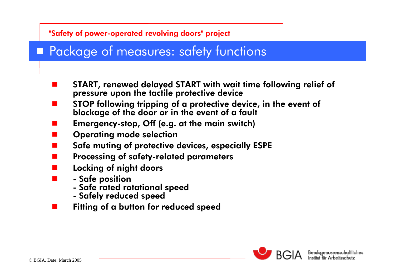## **Package of measures: safety functions**

- START, renewed delayed START with wait time following relief of pressure upon the tactile protective device
- STOP following tripping of a protective device, in the event of blockage of the door or in the event of a fault
- Emergency-stop, Off (e.g. at the main switch)
- Operating mode selection
- Safe muting of protective devices, especially ESPE
- П Processing of safety-related parameters
- Locking of night doors
	- Safe position
		- Safe rated rotational speed
		- Safely reduced speed
- Fitting of a button for reduced speed

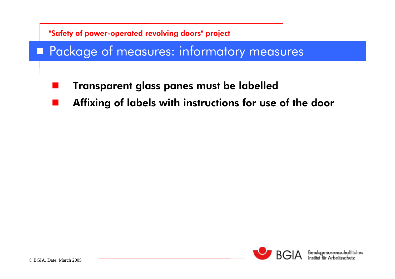### **Package of measures: informatory measures**

- an<br>M Transparent glass panes must be labelled
- an<br>M Affixing of labels with instructions for use of the door

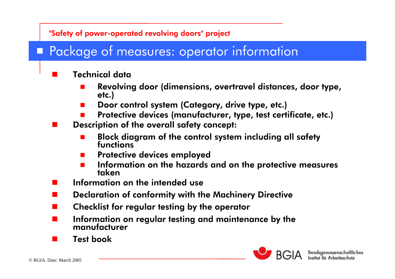### **Package of measures: operator information**

### Technical data

- $\Box$ Revolving door (dimensions, overtravel distances, door type, etc.)
- $\Box$ Door control system (Category, drive type, etc.)
- Protective devices (manufacturer, type, test certificate, etc.)
- П Description of the overall safety concept:
	- Block diagram of the control system including all safety functions
	- Protective devices employed
	- $\Box$ Information on the hazards and on the protective measures taken
- П Information on the intended use
- Declaration of conformity with the Machinery Directive
- П Checklist for regular testing by the operator
- Information on regular testing and maintenance by the manufacturer
- Test book